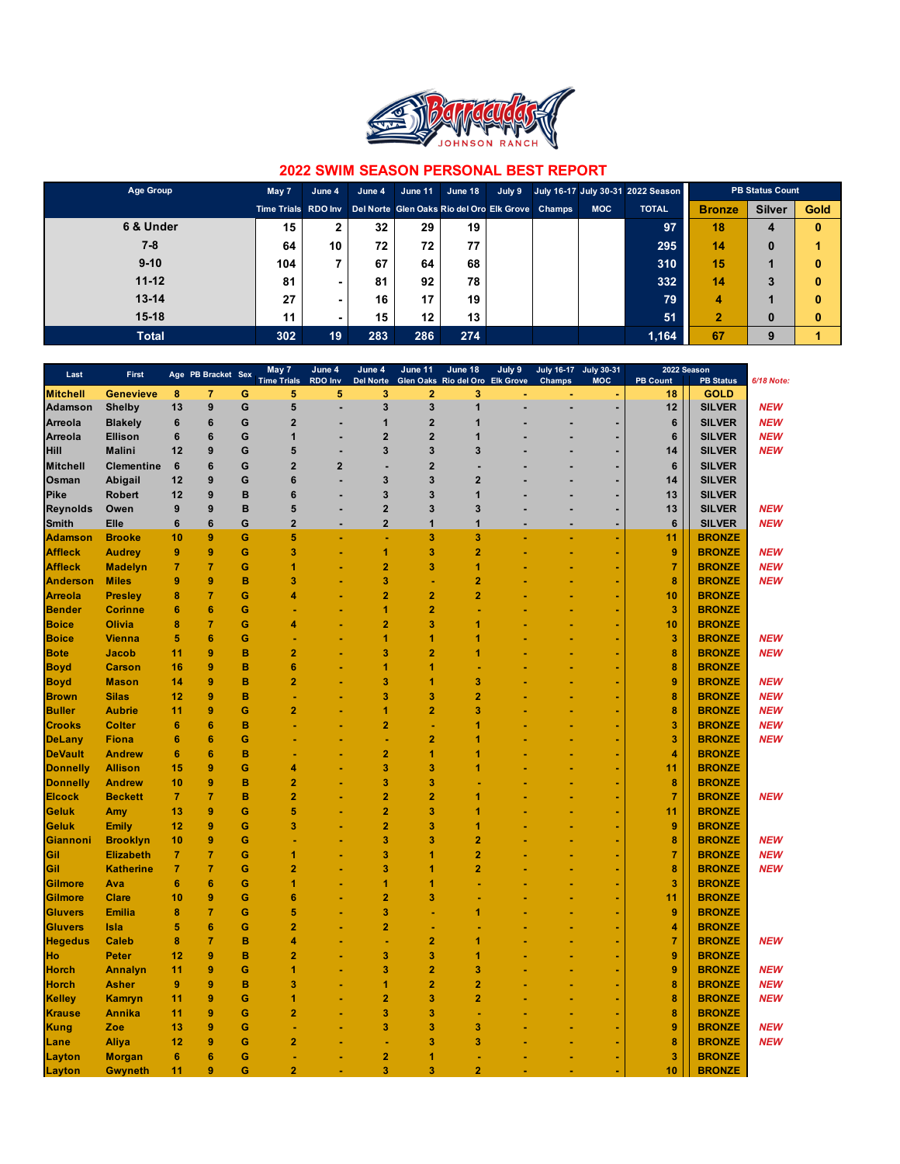

| Age Group    | May 7               | June 4 | June 4 | June 11 | June 18                                          | July 9 |            | July 16-17 July 30-31 2022 Season | <b>PB Status Count</b> |               |             |
|--------------|---------------------|--------|--------|---------|--------------------------------------------------|--------|------------|-----------------------------------|------------------------|---------------|-------------|
|              | Time Trials RDO Inv |        |        |         | Del Norte Glen Oaks Rio del Oro Elk Grove Champs |        | <b>MOC</b> | <b>TOTAL</b>                      | <b>Bronze</b>          | <b>Silver</b> | <b>Gold</b> |
| 6 & Under    | 15                  |        | 32     | 29      | 19                                               |        |            | 97                                | 18                     | 4             | $\bf{0}$    |
| 7-8          | 64                  | 10     | 72     | 72      | 77                                               |        |            | 295                               | 14                     | $\bf{0}$      |             |
| $9 - 10$     | 104                 |        | 67     | 64      | 68                                               |        |            | 310                               | 15                     |               | $\bf{0}$    |
| $11 - 12$    | 81                  | -      | 81     | 92      | 78                                               |        |            | 332                               | 14                     | 3             | $\bf{0}$    |
| $13 - 14$    | 27                  |        | 16     | 17      | 19                                               |        |            | 79                                | 4                      |               | $\bf{0}$    |
| $15-18$      | 11                  |        | 15     | $12 \,$ | 13                                               |        |            | 51                                | $\overline{2}$         | $\bf{0}$      | $\bf{0}$    |
| <b>Total</b> | 302                 | 19     | 283    | 286     | 274                                              |        |            | 1,164                             | 67                     | 9             |             |

| Last            | First             |                 | Age PB Bracket Sex |   | May 7<br><b>Time Trials</b> | June 4<br><b>RDO Inv</b> | June 4<br><b>Del Norte</b> | June 11        | June 18<br>Glen Oaks Rio del Oro Elk Grove | July 9 | <b>July 16-17</b><br><b>Champs</b> | <b>July 30-31</b><br><b>MOC</b> | 2022 Season<br><b>PB Count</b> | <b>PB Status</b> | 6/18 Note: |
|-----------------|-------------------|-----------------|--------------------|---|-----------------------------|--------------------------|----------------------------|----------------|--------------------------------------------|--------|------------------------------------|---------------------------------|--------------------------------|------------------|------------|
| <b>Mitchell</b> | <b>Genevieve</b>  | 8               | $\overline{7}$     | G | 5                           | 5                        | 3                          | $\overline{2}$ | 3                                          |        |                                    |                                 | 18                             | <b>GOLD</b>      |            |
| <b>Adamson</b>  | <b>Shelby</b>     | 13              | $\boldsymbol{9}$   | G | 5                           | ÷,                       | 3                          | 3              | $\overline{1}$                             |        | ä,                                 | ä,                              | 12                             | <b>SILVER</b>    | <b>NEW</b> |
| <b>Arreola</b>  | <b>Blakely</b>    | 6               | $\bf 6$            | G | $\overline{2}$              |                          | $\mathbf{1}$               | $\mathbf{2}$   | $\overline{1}$                             |        |                                    | ٠                               | $6\phantom{1}$                 | <b>SILVER</b>    | <b>NEW</b> |
| <b>Arreola</b>  | <b>Ellison</b>    | 6               | $6\phantom{1}6$    | G | $\mathbf{1}$                |                          | $\overline{2}$             | $\overline{2}$ | 1                                          |        |                                    |                                 | $6\phantom{1}$                 | <b>SILVER</b>    | <b>NEW</b> |
| <b>Hill</b>     | <b>Malini</b>     | 12              | 9                  | G | 5                           |                          | 3                          | 3              | 3                                          |        |                                    | ٠                               | 14                             | <b>SILVER</b>    | <b>NEW</b> |
| <b>Mitchell</b> | <b>Clementine</b> | 6               | $6\phantom{1}6$    | G | $\overline{2}$              | $\overline{2}$           | ÷                          | $\overline{2}$ |                                            |        |                                    |                                 | $6\phantom{1}$                 | <b>SILVER</b>    |            |
| Osman           | <b>Abigail</b>    | 12              | 9                  | G | $6\phantom{1}6$             |                          | 3                          | 3              | $\overline{2}$                             |        |                                    | ٠                               | 14                             | <b>SILVER</b>    |            |
| Pike            | <b>Robert</b>     | 12              | 9                  | B | $6\phantom{1}6$             |                          | 3                          | 3              | $\overline{1}$                             |        |                                    |                                 | 13                             | <b>SILVER</b>    |            |
| <b>Reynolds</b> | Owen              | 9               | $\boldsymbol{9}$   | B | 5                           |                          | $\overline{\mathbf{2}}$    | 3              | $\mathbf{3}$                               |        |                                    | ٠                               | 13                             | <b>SILVER</b>    | <b>NEW</b> |
| <b>Smith</b>    | Elle              | 6               | $\bf 6$            | G | $\overline{\mathbf{2}}$     |                          | $\overline{\mathbf{2}}$    | 1              | $\mathbf{1}$                               |        |                                    |                                 | 6                              | <b>SILVER</b>    | <b>NEW</b> |
|                 |                   | 10              | $\boldsymbol{9}$   | Ġ | 5                           |                          |                            | 3              | 3                                          |        |                                    | $\blacksquare$                  |                                | <b>BRONZE</b>    |            |
| <b>Adamson</b>  | <b>Brooke</b>     |                 |                    |   |                             |                          |                            |                |                                            |        |                                    |                                 | 11                             |                  |            |
| <b>Affleck</b>  | <b>Audrey</b>     | 9               | 9                  | G | 3                           |                          | 1                          | 3              | $\overline{2}$                             |        |                                    | ÷                               | 9                              | <b>BRONZE</b>    | <b>NEW</b> |
| <b>Affleck</b>  | <b>Madelyn</b>    | 7               | $\overline{7}$     | G | 1                           |                          | $\overline{2}$             | 3              | $\blacktriangleleft$                       |        |                                    | ٠                               | $\overline{7}$                 | <b>BRONZE</b>    | <b>NEW</b> |
| <b>Anderson</b> | <b>Miles</b>      | 9               | $\boldsymbol{9}$   | B | 3                           |                          | 3                          |                | $\overline{2}$                             |        |                                    | ÷                               | 8                              | <b>BRONZE</b>    | <b>NEW</b> |
| <b>Arreola</b>  | <b>Presley</b>    | 8               | $\overline{7}$     | G | 4                           |                          | $\overline{2}$             | $\overline{2}$ | $\overline{2}$                             |        |                                    | ÷                               | 10                             | <b>BRONZE</b>    |            |
| <b>Bender</b>   | <b>Corinne</b>    | 6               | $6\phantom{1}6$    | Ġ |                             |                          | 1                          | $\overline{2}$ |                                            |        |                                    | ٠                               | 3                              | <b>BRONZE</b>    |            |
| <b>Boice</b>    | Olivia            | 8               | $\overline{7}$     | G | 4                           |                          | $\overline{2}$             | 3              | 1                                          |        |                                    | ÷                               | 10                             | <b>BRONZE</b>    |            |
| <b>Boice</b>    | <b>Vienna</b>     | 5               | $6\phantom{1}6$    | Ġ |                             |                          | 1                          | 1              | ٢                                          |        |                                    |                                 | 3                              | <b>BRONZE</b>    | <b>NEW</b> |
| <b>Bote</b>     | Jacob             | 11              | $\boldsymbol{9}$   | B | $\overline{2}$              |                          | 3                          | $\overline{2}$ | 1                                          |        |                                    |                                 | 8                              | <b>BRONZE</b>    | <b>NEW</b> |
| <b>Boyd</b>     | <b>Carson</b>     | 16              | 9                  | B | $6\phantom{1}6$             |                          | 1                          | 1              |                                            |        |                                    |                                 | 8                              | <b>BRONZE</b>    |            |
| <b>Boyd</b>     | <b>Mason</b>      | 14              | 9                  | B | $\overline{2}$              |                          | 3                          | 1              | 3                                          |        |                                    |                                 | $\boldsymbol{9}$               | <b>BRONZE</b>    | <b>NEW</b> |
| <b>Brown</b>    | <b>Silas</b>      | 12              | 9                  | B |                             |                          | 3                          | 3              | $\overline{2}$                             |        |                                    |                                 | 8                              | <b>BRONZE</b>    | <b>NEW</b> |
| <b>Buller</b>   | <b>Aubrie</b>     | 11              | 9                  | Ġ | $\overline{2}$              |                          | 1                          | $\overline{2}$ | 3                                          |        |                                    |                                 | 8                              | <b>BRONZE</b>    | <b>NEW</b> |
| <b>Crooks</b>   | <b>Colter</b>     | $6\phantom{1}6$ | $6\phantom{1}6$    | B |                             |                          | $\overline{2}$             |                | 1                                          |        |                                    |                                 | 3                              | <b>BRONZE</b>    | <b>NEW</b> |
| <b>DeLany</b>   | <b>Fiona</b>      | $6\phantom{1}6$ | $6\phantom{1}6$    | Ġ |                             |                          |                            | $\overline{2}$ | 1                                          |        |                                    | ÷                               | 3                              | <b>BRONZE</b>    | <b>NEW</b> |
| <b>DeVault</b>  | <b>Andrew</b>     | 6               | $6\phantom{1}6$    | B |                             |                          | $\overline{2}$             | 1              | ł                                          |        |                                    | ٠                               | 4                              | <b>BRONZE</b>    |            |
| <b>Donnelly</b> | <b>Allison</b>    | 15              | $\boldsymbol{9}$   | Ġ | 4                           |                          | 3                          | 3              | 1                                          |        |                                    | ٠                               | 11                             | <b>BRONZE</b>    |            |
| <b>Donnelly</b> | <b>Andrew</b>     | 10              | $\boldsymbol{9}$   | B | $\overline{2}$              |                          | 3                          | 3              |                                            |        |                                    | ٠                               | 8                              | <b>BRONZE</b>    |            |
| <b>Elcock</b>   | <b>Beckett</b>    | $\overline{7}$  | $\overline{7}$     | B | $\overline{2}$              |                          | $\overline{2}$             | $\overline{2}$ | 1                                          |        |                                    | ٠                               | $\overline{7}$                 | <b>BRONZE</b>    | <b>NEW</b> |
| Geluk           | Amy               | 13              | $\boldsymbol{9}$   | Ġ | 5                           |                          | $\overline{2}$             | 3              | 1                                          |        |                                    | ٠                               | 11                             | <b>BRONZE</b>    |            |
| Geluk           | <b>Emily</b>      | 12              | $\boldsymbol{9}$   | G | 3                           |                          | $\overline{2}$             | 3              | 1                                          |        |                                    | ٠                               | 9                              | <b>BRONZE</b>    |            |
| Giannoni        | <b>Brooklyn</b>   | 10              | $\boldsymbol{9}$   | Ġ |                             |                          | 3                          | 3              | $\overline{2}$                             |        |                                    | ٠                               | 8                              | <b>BRONZE</b>    | <b>NEW</b> |
| <b>Gil</b>      | <b>Elizabeth</b>  | $\overline{7}$  | $\overline{7}$     | G | 1                           |                          | 3                          | 1              | $\overline{2}$                             |        |                                    | ٠                               | $\overline{7}$                 | <b>BRONZE</b>    | <b>NEW</b> |
| Gil             | <b>Katherine</b>  | 7               | $\overline{7}$     | G | $\overline{2}$              |                          | 3                          | 1              | $\overline{2}$                             |        |                                    | ٠                               | 8                              | <b>BRONZE</b>    | <b>NEW</b> |
| Gilmore         | Ava               | 6               | $6\phantom{1}6$    | G | 1                           |                          | 1                          | 1              |                                            |        |                                    | ÷                               | 3                              | <b>BRONZE</b>    |            |
|                 | <b>Clare</b>      | 10              | $\boldsymbol{9}$   | G | 6                           |                          | $\overline{2}$             | 3              |                                            |        |                                    |                                 | 11                             | <b>BRONZE</b>    |            |
| Gilmore         | <b>Emilia</b>     |                 | $\overline{7}$     | G | 5                           |                          | 3                          |                | 1                                          |        |                                    | ÷                               | $\boldsymbol{9}$               | <b>BRONZE</b>    |            |
| Gluvers         |                   | 8               |                    |   | $\overline{2}$              |                          |                            |                |                                            |        |                                    | ÷                               |                                |                  |            |
| <b>Gluvers</b>  | Isla              | 5               | $6\phantom{1}6$    | G |                             |                          | $\overline{2}$             |                |                                            |        |                                    | ٠                               | 4                              | <b>BRONZE</b>    |            |
| <b>Hegedus</b>  | <b>Caleb</b>      | 8               | $\overline{7}$     | B | 4                           |                          |                            | $\overline{a}$ | 1                                          |        |                                    | ٠                               | $\overline{7}$                 | <b>BRONZE</b>    | <b>NEW</b> |
| Ho              | <b>Peter</b>      | 12              | $\boldsymbol{9}$   | B | $\overline{2}$              |                          | 3                          | 3              | 1                                          |        |                                    | ٠                               | 9                              | <b>BRONZE</b>    |            |
| <b>Horch</b>    | <b>Annalyn</b>    | 11              | $\boldsymbol{9}$   | G | 1                           |                          | 3                          | $\overline{2}$ | 3                                          |        |                                    | ٠                               | 9                              | <b>BRONZE</b>    | <b>NEW</b> |
| <b>Horch</b>    | <b>Asher</b>      | 9               | 9                  | B | 3                           |                          | 1                          | $\overline{2}$ | $\overline{2}$                             |        |                                    | ٠                               | 8                              | <b>BRONZE</b>    | <b>NEW</b> |
| Kelley          | <b>Kamryn</b>     | 11              | 9                  | G | 1                           |                          | $\overline{a}$             | 3              | $\overline{2}$                             |        |                                    | ٠                               | 8                              | <b>BRONZE</b>    | <b>NEW</b> |
| <b>Krause</b>   | <b>Annika</b>     | 11              | 9                  | G | $\overline{2}$              |                          | 3                          | 3              |                                            |        |                                    | ٠                               | 8                              | <b>BRONZE</b>    |            |
| Kung            | Zoe               | 13              | $\boldsymbol{9}$   | G |                             |                          | 3                          | 3              | 3                                          |        |                                    |                                 | 9                              | <b>BRONZE</b>    | <b>NEW</b> |
| Lane            | <b>Aliya</b>      | 12              | 9                  | G | $\overline{2}$              |                          |                            | 3              | 3                                          |        |                                    |                                 | 8                              | <b>BRONZE</b>    | <b>NEW</b> |
| Layton          | <b>Morgan</b>     | 6               | $6\phantom{1}6$    | G |                             |                          | $\overline{2}$             | 1              |                                            |        |                                    | ٠                               | 3                              | <b>BRONZE</b>    |            |
| Layton          | <b>Gwyneth</b>    | 11              | 9                  | G | $\overline{2}$              |                          | 3                          | 3              | $\overline{2}$                             |        |                                    |                                 | 10                             | <b>BRONZE</b>    |            |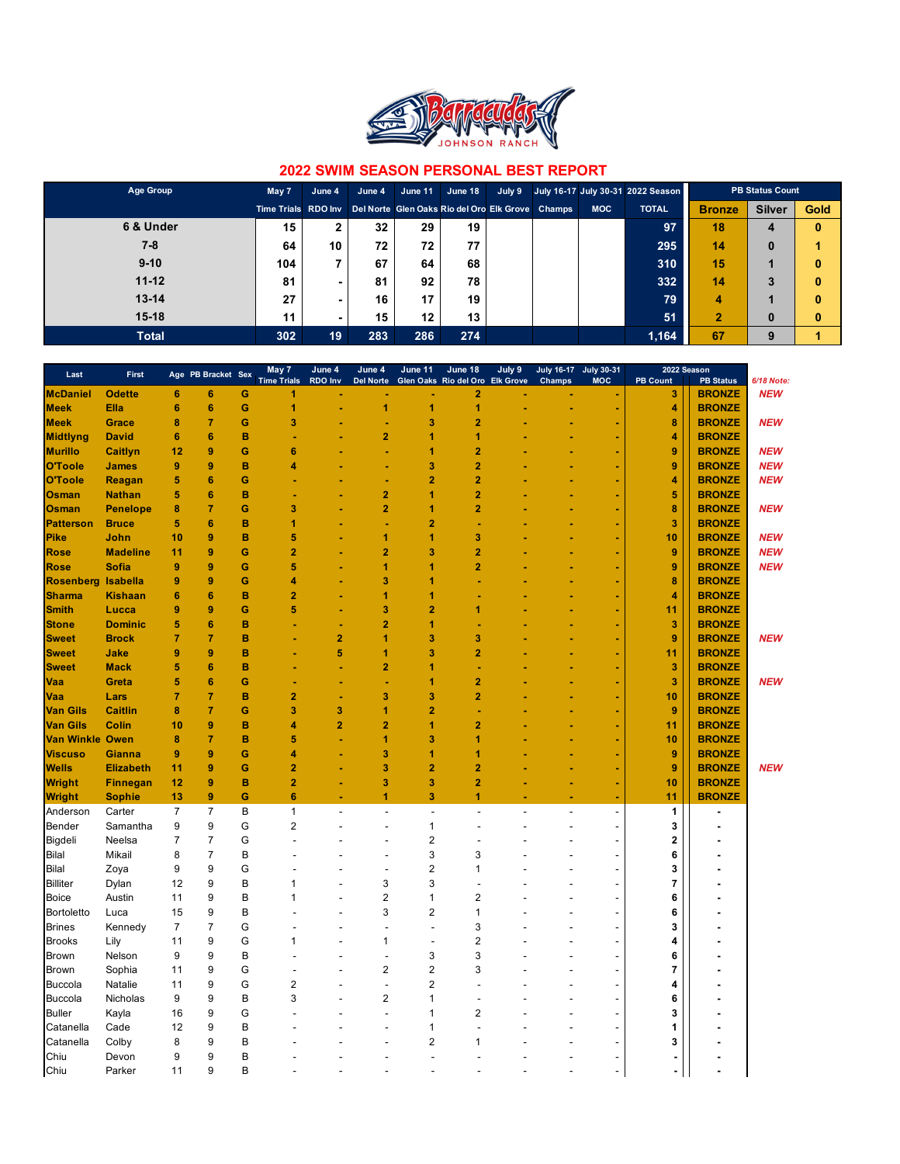

| Age Group    | May 7               | June 4 | June 4 | June 11 | June 18                                          | July 9 |            | July 16-17 July 30-31 2022 Season | <b>PB Status Count</b> |               |             |
|--------------|---------------------|--------|--------|---------|--------------------------------------------------|--------|------------|-----------------------------------|------------------------|---------------|-------------|
|              | Time Trials RDO Inv |        |        |         | Del Norte Glen Oaks Rio del Oro Elk Grove Champs |        | <b>MOC</b> | <b>TOTAL</b>                      | <b>Bronze</b>          | <b>Silver</b> | <b>Gold</b> |
| 6 & Under    | 15                  |        | 32     | 29      | 19                                               |        |            | 97                                | 18                     | 4             | $\bf{0}$    |
| 7-8          | 64                  | 10     | 72     | 72      | 77                                               |        |            | 295                               | 14                     | $\bf{0}$      |             |
| $9 - 10$     | 104                 |        | 67     | 64      | 68                                               |        |            | 310                               | 15                     |               | $\bf{0}$    |
| $11 - 12$    | 81                  | -      | 81     | 92      | 78                                               |        |            | 332                               | 14                     | 3             | $\bf{0}$    |
| $13 - 14$    | 27                  |        | 16     | 17      | 19                                               |        |            | 79                                | 4                      |               | $\bf{0}$    |
| $15-18$      | 11                  |        | 15     | $12 \,$ | 13                                               |        |            | 51                                | $\overline{2}$         | $\bf{0}$      | $\bf{0}$    |
| <b>Total</b> | 302                 | 19     | 283    | 286     | 274                                              |        |            | 1,164                             | 67                     | 9             |             |

| Last                   | First            |                 | Age PB Bracket Sex |   | May 7              | June 4         | June 4                   | June 11                  | June 18                         | July 9 | July 16-17 July 30-31 |                          |                 | 2022 Season      |            |
|------------------------|------------------|-----------------|--------------------|---|--------------------|----------------|--------------------------|--------------------------|---------------------------------|--------|-----------------------|--------------------------|-----------------|------------------|------------|
|                        |                  |                 |                    |   | <b>Time Trials</b> | <b>RDO Inv</b> | <b>Del Norte</b>         |                          | Glen Oaks Rio del Oro Elk Grove |        | Champs                | <b>MOC</b>               | <b>PB Count</b> | <b>PB Status</b> | 6/18 Note: |
| <b>McDaniel</b>        | <b>Odette</b>    | 6               | $6\phantom{1}6$    | G |                    |                |                          |                          | 2                               |        |                       |                          | 3               | <b>BRONZE</b>    | <b>NEW</b> |
| <b>Meek</b>            | Ella             | $6\phantom{1}6$ | $6\phantom{1}6$    | G | 1                  |                | 1                        | 1                        | 1                               |        |                       |                          | 4               | <b>BRONZE</b>    |            |
| <b>Meek</b>            | Grace            | 8               | $\overline{7}$     | G | 3                  |                |                          | 3                        | 2                               |        |                       |                          | 8               | <b>BRONZE</b>    | <b>NEW</b> |
| <b>Midtlyng</b>        | <b>David</b>     | $6\phantom{1}6$ | $6\phantom{1}6$    | B |                    |                | $\overline{2}$           | 1                        | 1                               |        |                       |                          | 4               | <b>BRONZE</b>    |            |
| <b>Murillo</b>         | <b>Caitlyn</b>   | 12              | $\boldsymbol{9}$   | G | 6                  |                |                          | 1                        | 2                               |        |                       |                          | 9               | <b>BRONZE</b>    | <b>NEW</b> |
| O'Toole                | <b>James</b>     | 9               | $\boldsymbol{9}$   | B | 4                  |                |                          | 3                        | $\overline{2}$                  |        |                       |                          | 9               | <b>BRONZE</b>    | <b>NEW</b> |
| O'Toole                | Reagan           | 5               | $6\phantom{1}6$    | G |                    |                |                          | $\overline{2}$           | 2                               |        |                       |                          | 4               | <b>BRONZE</b>    | <b>NEW</b> |
| Osman                  | <b>Nathan</b>    | 5               | $6\phantom{1}6$    | B |                    |                | $\overline{2}$           | 1                        | $\overline{2}$                  |        |                       |                          | 5               | <b>BRONZE</b>    |            |
| Osman                  | <b>Penelope</b>  | 8               | $\overline{7}$     | G | 3                  |                | 2                        | 1                        | 2                               |        |                       |                          | 8               | <b>BRONZE</b>    | <b>NEW</b> |
| <b>Patterson</b>       | <b>Bruce</b>     | 5               | $6\phantom{1}6$    | B |                    |                |                          | $\overline{2}$           |                                 |        |                       |                          | 3               | <b>BRONZE</b>    |            |
| Pike                   | John             | 10              | $\boldsymbol{9}$   | B | 5                  |                | 1                        | 1                        | 3                               |        |                       |                          | 10              | <b>BRONZE</b>    | <b>NEW</b> |
| <b>Rose</b>            | <b>Madeline</b>  | 11              | 9                  | G | $\overline{2}$     |                | $\overline{2}$           | 3                        | $\overline{2}$                  |        |                       |                          | 9               | <b>BRONZE</b>    | <b>NEW</b> |
| <b>Rose</b>            | <b>Sofia</b>     | 9               | $\boldsymbol{9}$   | G | 5                  |                | 1                        | 1                        | $\overline{2}$                  |        |                       |                          | 9               | <b>BRONZE</b>    | <b>NEW</b> |
| <b>Rosenberg</b>       | <b>Isabella</b>  | 9               | $\boldsymbol{9}$   | G | 4                  |                | 3                        | 1                        |                                 |        |                       |                          | 8               | <b>BRONZE</b>    |            |
| <b>Sharma</b>          | <b>Kishaan</b>   | 6               | $6\phantom{1}6$    | B | 2                  |                | 1                        | 1                        |                                 |        |                       |                          | 4               | <b>BRONZE</b>    |            |
| <b>Smith</b>           | Lucca            | 9               | $\boldsymbol{9}$   | G | 5                  |                | 3                        | $\overline{2}$           | 1                               |        |                       |                          | 11              | <b>BRONZE</b>    |            |
| <b>Stone</b>           | <b>Dominic</b>   | 5               | $6\phantom{1}6$    | B |                    |                | 2                        | 1                        |                                 |        |                       |                          | 3               | <b>BRONZE</b>    |            |
|                        | <b>Brock</b>     | 7               | $\overline{7}$     | B |                    | $\overline{2}$ | 1                        | 3                        | 3                               |        |                       |                          | 9               | <b>BRONZE</b>    | <b>NEW</b> |
| <b>Sweet</b>           |                  | 9               | 9                  | B |                    | 5              | 1                        | 3                        | $\overline{2}$                  |        |                       |                          |                 | <b>BRONZE</b>    |            |
| <b>Sweet</b>           | Jake             |                 |                    |   |                    |                | $\overline{2}$           |                          |                                 |        |                       |                          | 11              |                  |            |
| <b>Sweet</b>           | <b>Mack</b>      | 5               | $6\phantom{1}6$    | B |                    |                |                          | 1                        |                                 |        |                       |                          | 3               | <b>BRONZE</b>    |            |
| Vaa                    | Greta            | 5               | $6\phantom{1}6$    | G |                    |                |                          | 1                        | 2                               |        |                       |                          | 3               | <b>BRONZE</b>    | <b>NEW</b> |
| Vaa                    | Lars             | 7               | $\overline{7}$     | B | $\overline{2}$     |                | 3                        | 3                        | $\overline{2}$                  |        |                       |                          | 10              | <b>BRONZE</b>    |            |
| <b>Van Gils</b>        | <b>Caitlin</b>   | 8               | $\overline{7}$     | G | 3                  | 3              | 1                        | $\overline{2}$           |                                 |        |                       |                          | 9               | <b>BRONZE</b>    |            |
| <b>Van Gils</b>        | Colin            | 10              | $\boldsymbol{9}$   | B | 4                  | $\overline{2}$ | $\overline{2}$           | 1                        | $\overline{2}$                  |        |                       |                          | 11              | <b>BRONZE</b>    |            |
| <b>Van Winkle Owen</b> |                  | 8               | $\overline{7}$     | B | 5                  |                | 1                        | 3                        | 1                               |        |                       |                          | 10              | <b>BRONZE</b>    |            |
| <b>Viscuso</b>         | Gianna           | 9               | 9                  | G | 4                  |                | 3                        | 1                        | 1                               |        |                       |                          | 9               | <b>BRONZE</b>    |            |
| <b>Wells</b>           | <b>Elizabeth</b> | 11              | 9                  | G | $\overline{2}$     |                | 3                        | 2                        | $\overline{2}$                  |        |                       |                          | 9               | <b>BRONZE</b>    | <b>NEW</b> |
| <b>Wright</b>          | <b>Finnegan</b>  | 12              | 9                  | B | $\overline{2}$     |                | 3                        | 3                        | $\overline{2}$                  |        |                       |                          | 10              | <b>BRONZE</b>    |            |
| <b>Wright</b>          | <b>Sophie</b>    | 13              | $\boldsymbol{9}$   | G | 6                  |                | 1                        | 3                        | 1                               |        |                       | $\sim$                   | 11              | <b>BRONZE</b>    |            |
| Anderson               | Carter           | 7               | $\overline{7}$     | B | 1                  | L,             | $\overline{\phantom{a}}$ | $\overline{\phantom{a}}$ | L,                              |        | $\blacksquare$        | $\blacksquare$           | 1               |                  |            |
| Bender                 | Samantha         | 9               | 9                  | G | $\overline{2}$     |                |                          | 1                        |                                 |        |                       |                          | 3               |                  |            |
| Bigdeli                | Neelsa           | $\overline{7}$  | $\overline{7}$     | G |                    |                |                          | $\overline{\mathbf{c}}$  |                                 |        |                       |                          | 2               |                  |            |
| Bilal                  | Mikail           | 8               | $\overline{7}$     | B |                    |                |                          | 3                        | 3                               |        |                       |                          | 6               |                  |            |
| Bilal                  | Zoya             | 9               | 9                  | G |                    |                |                          | $\overline{\mathbf{c}}$  | 1                               |        |                       |                          | 3               |                  |            |
| <b>Billiter</b>        | Dylan            | 12              | 9                  | B | 1                  |                | 3                        | 3                        |                                 |        |                       |                          | 7               |                  |            |
| <b>Boice</b>           | Austin           | 11              | 9                  | B | 1                  |                | 2                        | 1                        | $\overline{2}$                  |        |                       |                          | 6               |                  |            |
| <b>Bortoletto</b>      | Luca             | 15              | 9                  | B |                    |                | 3                        | 2                        | 1                               |        |                       | $\overline{\phantom{a}}$ | 6               |                  |            |
| <b>Brines</b>          | Kennedy          | $\overline{7}$  | $\overline{7}$     | G |                    |                |                          |                          | 3                               |        |                       |                          | 3               |                  |            |
| <b>Brooks</b>          | Lily             | 11              | 9                  | G | 1                  |                | 1                        |                          | $\overline{2}$                  |        |                       |                          | 4               |                  |            |
|                        |                  |                 |                    |   |                    |                |                          |                          | 3                               |        |                       |                          |                 |                  |            |
| Brown                  | Nelson           | 9               | 9                  | B |                    |                |                          | 3                        |                                 |        |                       |                          | 6               |                  |            |
| Brown                  | Sophia           | 11              | 9                  | G |                    |                | $\overline{2}$           | $\overline{2}$           | 3                               |        |                       |                          | 7               |                  |            |
| <b>Buccola</b>         | Natalie          | 11              | 9                  | G | $\overline{2}$     |                | $\overline{a}$           | $\overline{2}$           | J.                              |        |                       | $\overline{a}$           | 4               |                  |            |
| <b>Buccola</b>         | Nicholas         | 9               | 9                  | B | 3                  |                | $\overline{2}$           | $\mathbf{1}$             | J.                              |        |                       | $\overline{a}$           | 6               |                  |            |
| <b>Buller</b>          | Kayla            | 16              | 9                  | G |                    |                |                          | $\mathbf{1}$             | $\overline{2}$                  |        |                       |                          | 3               |                  |            |
| Catanella              | Cade             | 12              | 9                  | B |                    |                |                          | $\mathbf{1}$             | L.                              |        |                       | $\overline{a}$           | 1               |                  |            |
| Catanella              | Colby            | 8               | 9                  | B |                    |                |                          | $\overline{2}$           | 1                               |        |                       |                          | 3               |                  |            |
| Chiu                   | Devon            | 9               | 9                  | B |                    |                |                          | L.                       |                                 |        |                       |                          |                 |                  |            |
| Chiu                   | Parker           | 11              | 9                  | B |                    |                |                          |                          |                                 |        |                       |                          |                 |                  |            |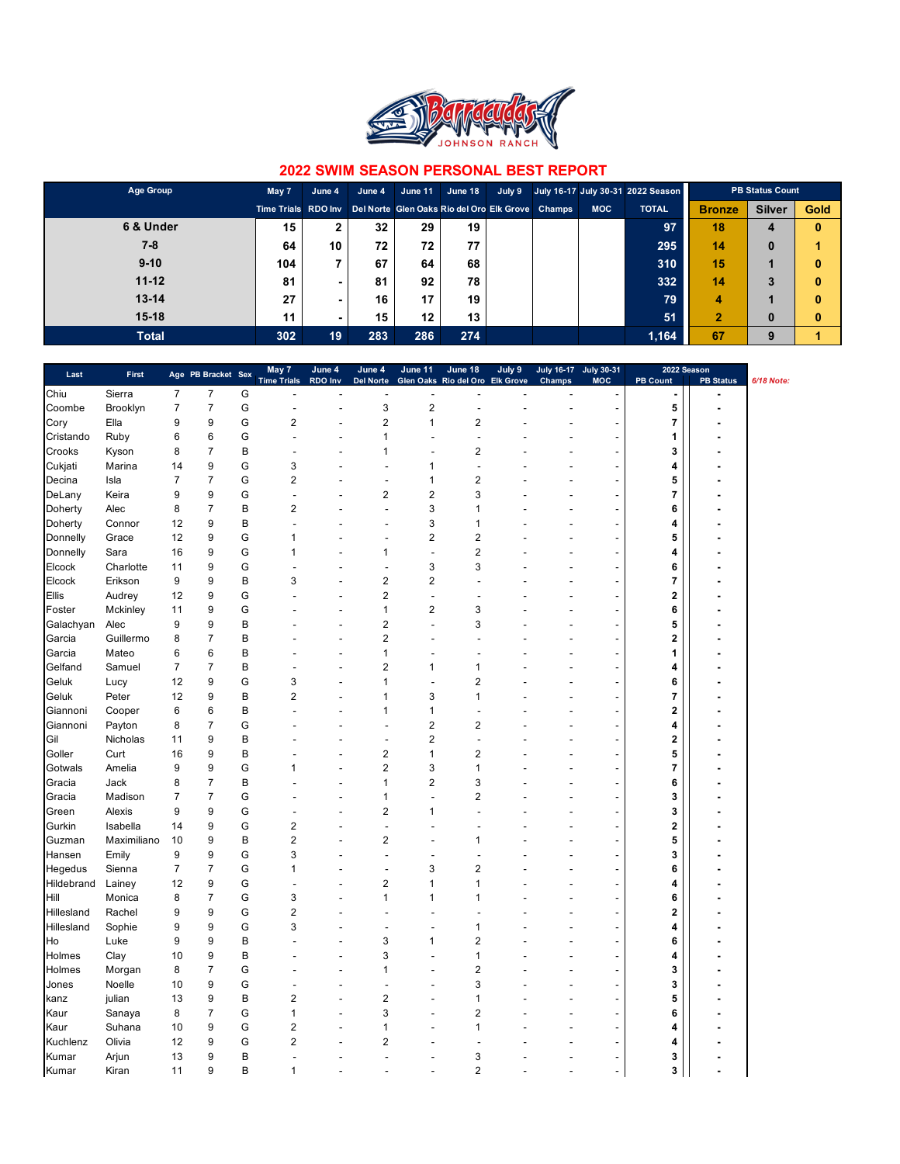

| Age Group    | May 7               | June 4 | June 4 | June 11 | June 18                                          | July 9 |            | July 16-17 July 30-31 2022 Season | <b>PB Status Count</b> |               |             |
|--------------|---------------------|--------|--------|---------|--------------------------------------------------|--------|------------|-----------------------------------|------------------------|---------------|-------------|
|              | Time Trials RDO Inv |        |        |         | Del Norte Glen Oaks Rio del Oro Elk Grove Champs |        | <b>MOC</b> | <b>TOTAL</b>                      | <b>Bronze</b>          | <b>Silver</b> | <b>Gold</b> |
| 6 & Under    | 15                  |        | 32     | 29      | 19                                               |        |            | 97                                | 18                     | 4             | $\bf{0}$    |
| 7-8          | 64                  | 10     | 72     | 72      | 77                                               |        |            | 295                               | 14                     | $\bf{0}$      |             |
| $9 - 10$     | 104                 |        | 67     | 64      | 68                                               |        |            | 310                               | 15                     |               | $\bf{0}$    |
| $11 - 12$    | 81                  | -      | 81     | 92      | 78                                               |        |            | 332                               | 14                     | 3             | $\bf{0}$    |
| $13 - 14$    | 27                  |        | 16     | 17      | 19                                               |        |            | 79                                | 4                      |               | $\bf{0}$    |
| $15-18$      | 11                  |        | 15     | $12 \,$ | 13                                               |        |            | 51                                | $\overline{2}$         | $\bf{0}$      | $\bf{0}$    |
| <b>Total</b> | 302                 | 19     | 283    | 286     | 274                                              |        |            | 1,164                             | 67                     | 9             |             |

| Last       | First       |                | Age PB Bracket Sex |   | May 7                   | June 4         | June 4           | June 11                 | June 18                         | July 9 |        | July 16-17 July 30-31    |                         | 2022 Season      |            |
|------------|-------------|----------------|--------------------|---|-------------------------|----------------|------------------|-------------------------|---------------------------------|--------|--------|--------------------------|-------------------------|------------------|------------|
| Chiu       | Sierra      | $\overline{7}$ | 7                  | G | <b>Time Trials</b>      | RDO Inv        | <b>Del Norte</b> |                         | Glen Oaks Rio del Oro Elk Grove |        | Champs | <b>MOC</b>               | <b>PB Count</b>         | <b>PB Status</b> | 6/18 Note: |
| Coombe     | Brooklyn    | 7              | $\overline{7}$     | G | $\overline{a}$          | $\overline{a}$ | 3                | $\overline{c}$          | $\overline{a}$                  |        |        |                          | 5                       | $\blacksquare$   |            |
| Cory       | Ella        | 9              | 9                  | G | $\overline{c}$          | L,             | $\overline{c}$   | 1                       | $\overline{\mathbf{c}}$         |        |        |                          | 7                       |                  |            |
|            |             |                | 6                  | G |                         |                | $\mathbf{1}$     |                         | l,                              |        |        | $\overline{a}$           |                         |                  |            |
| Cristando  | Ruby        | 6              | $\overline{7}$     | B |                         | L,             | 1                |                         |                                 |        |        |                          | 1                       |                  |            |
| Crooks     | Kyson       | 8              |                    |   | 3                       |                | Ĭ.               |                         | 2<br>l,                         |        |        | $\overline{\phantom{a}}$ | 3                       |                  |            |
| Cukjati    | Marina      | 14             | 9                  | G |                         |                |                  | 1                       |                                 |        |        | ÷,                       | 4                       |                  |            |
| Decina     | Isla        | 7              | $\overline{7}$     | G | $\overline{\mathbf{c}}$ |                | ٠                | 1                       | $\overline{\mathbf{c}}$<br>3    |        |        | $\overline{\phantom{a}}$ | 5                       |                  |            |
| DeLany     | Keira       | 9              | 9                  | G |                         |                | $\overline{2}$   | $\overline{c}$          | 1                               |        |        | $\overline{a}$           | $\overline{7}$          |                  |            |
| Doherty    | Alec        | 8              | $\overline{7}$     | B | $\overline{\mathbf{c}}$ |                | Ĭ.               | 3                       |                                 |        |        | $\overline{a}$           | 6                       |                  |            |
| Doherty    | Connor      | 12             | 9                  | B |                         |                |                  | 3                       | 1                               |        |        | $\overline{a}$           | 4                       |                  |            |
| Donnelly   | Grace       | 12             | 9                  | G | 1                       |                | Ĭ.               | $\overline{\mathbf{c}}$ | $\overline{2}$                  |        |        | ٠                        | 5                       |                  |            |
| Donnelly   | Sara        | 16             | 9                  | G | 1                       |                | 1                | L,                      | $\overline{2}$                  |        |        | $\overline{\phantom{a}}$ | 4                       |                  |            |
| Elcock     | Charlotte   | 11             | 9                  | G |                         |                |                  | 3                       | 3                               |        |        | $\overline{\phantom{a}}$ | 6                       |                  |            |
| Elcock     | Erikson     | 9              | 9                  | B | 3                       |                | $\overline{2}$   | 2                       |                                 |        |        | $\overline{\phantom{a}}$ | 7                       |                  |            |
| Ellis      | Audrey      | 12             | 9                  | G |                         |                | $\overline{2}$   |                         |                                 |        |        | $\overline{\phantom{a}}$ | $\overline{\mathbf{2}}$ |                  |            |
| Foster     | Mckinley    | 11             | 9                  | G |                         |                | $\mathbf{1}$     | 2                       | 3                               |        |        | $\overline{\phantom{a}}$ | 6                       |                  |            |
| Galachyan  | Alec        | 9              | 9                  | B |                         |                | $\overline{2}$   | ä,                      | 3                               |        |        | $\overline{\phantom{a}}$ | 5                       |                  |            |
| Garcia     | Guillermo   | 8              | $\overline{7}$     | B |                         |                | $\overline{2}$   |                         |                                 |        |        |                          | $\overline{\mathbf{2}}$ |                  |            |
| Garcia     | Mateo       | 6              | 6                  | B |                         |                | 1                |                         |                                 |        |        | $\overline{\phantom{a}}$ | 1                       |                  |            |
| Gelfand    | Samuel      | $\overline{7}$ | $\overline{7}$     | B |                         |                | $\overline{2}$   | 1                       | 1                               |        |        | ÷                        | 4                       |                  |            |
| Geluk      | Lucy        | 12             | 9                  | G | 3                       | ٠              | $\mathbf{1}$     |                         | $\overline{2}$                  |        |        | ٠                        | 6                       |                  |            |
| Geluk      | Peter       | 12             | 9                  | B | $\overline{2}$          |                | 1                | 3                       | $\mathbf{1}$                    |        |        |                          | 7                       |                  |            |
| Giannoni   | Cooper      | 6              | 6                  | B |                         |                | $\mathbf{1}$     | 1                       |                                 |        |        | ٠                        | $\overline{\mathbf{2}}$ |                  |            |
| Giannoni   | Payton      | 8              | $\overline{7}$     | G |                         |                | ٠                | $\overline{c}$          | $\overline{\mathbf{c}}$         |        |        |                          | $\overline{\mathbf{4}}$ |                  |            |
| Gil        | Nicholas    | 11             | 9                  | B |                         |                | L,               | $\overline{\mathbf{c}}$ | J.                              |        |        | $\overline{\phantom{a}}$ | $\mathbf 2$             |                  |            |
| Goller     | Curt        | 16             | 9                  | B |                         |                | $\overline{2}$   | $\mathbf{1}$            | $\overline{2}$                  |        |        |                          | 5                       |                  |            |
| Gotwals    | Amelia      | 9              | 9                  | G | 1                       |                | $\overline{2}$   | 3                       | 1                               |        |        |                          | $\overline{7}$          |                  |            |
| Gracia     | Jack        | 8              | $\overline{7}$     | B |                         |                | $\mathbf{1}$     | $\overline{\mathbf{c}}$ | 3                               |        |        |                          | 6                       |                  |            |
| Gracia     | Madison     | $\overline{7}$ | $\overline{7}$     | G |                         |                | $\mathbf{1}$     | J.                      | $\overline{2}$                  |        |        |                          | 3                       |                  |            |
| Green      | Alexis      | 9              | 9                  | G |                         |                | $\overline{2}$   | 1                       | ä,                              |        |        |                          | 3                       |                  |            |
| Gurkin     | Isabella    | 14             | 9                  | G | $\overline{2}$          |                | J.               |                         |                                 |        |        |                          | $\overline{\mathbf{2}}$ |                  |            |
| Guzman     | Maximiliano | 10             | 9                  | B | $\overline{2}$          |                | $\overline{2}$   |                         | 1                               |        |        |                          | 5                       |                  |            |
| Hansen     | Emily       | 9              | 9                  | G | 3                       |                |                  |                         |                                 |        |        |                          | 3                       |                  |            |
| Hegedus    | Sienna      | 7              | $\overline{7}$     | G | 1                       |                |                  | 3                       | $\overline{2}$                  |        |        |                          | 6                       |                  |            |
| Hildebrand | Lainey      | 12             | 9                  | G |                         |                | $\overline{2}$   | 1                       | 1                               |        |        |                          | 4                       |                  |            |
| Hill       | Monica      | 8              | $\overline{7}$     | G | 3                       |                | 1                | 1                       | 1                               |        |        |                          | 6                       |                  |            |
| Hillesland | Rachel      | 9              | 9                  | G | $\overline{2}$          |                |                  |                         |                                 |        |        |                          | $\mathbf 2$             |                  |            |
| Hillesland | Sophie      | 9              | 9                  | G | 3                       |                |                  |                         | 1                               |        |        |                          | 4                       |                  |            |
| Ho         | Luke        | 9              | 9                  | B |                         |                | 3                | 1                       | $\overline{2}$                  |        |        |                          | 6                       |                  |            |
| Holmes     | Clay        | 10             | 9                  | B |                         |                | 3                |                         | $\mathbf{1}$                    |        |        |                          | 4                       |                  |            |
| Holmes     | Morgan      | 8              | $\overline{7}$     | G |                         |                | 1                |                         | $\overline{\mathbf{c}}$         |        |        | ÷,                       | 3                       |                  |            |
| Jones      | Noelle      | 10             | 9                  | G |                         |                |                  |                         | 3                               |        |        | $\overline{a}$           | 3                       |                  |            |
| kanz       | julian      | 13             | 9                  | B | 2                       |                | $\overline{c}$   |                         | 1                               |        |        | $\overline{a}$           | 5                       |                  |            |
|            | Sanaya      | 8              | $\overline{7}$     | G | 1                       |                | 3                |                         | $\overline{\mathbf{c}}$         |        |        |                          | 6                       |                  |            |
| Kaur       |             |                | 9                  | G | $\overline{c}$          |                | 1                |                         | $\mathbf{1}$                    |        |        | $\overline{a}$           | 4                       |                  |            |
| Kaur       | Suhana      | 10             | 9                  | G | $\overline{c}$          |                |                  |                         |                                 |        |        |                          |                         |                  |            |
| Kuchlenz   | Olivia      | 12             | 9                  |   |                         |                | 2                |                         |                                 |        |        |                          | 4                       |                  |            |
| Kumar      | Arjun       | 13             |                    | B |                         |                |                  |                         | 3                               |        |        |                          | 3                       |                  |            |
| Kumar      | Kiran       | 11             | 9                  | B | 1                       |                |                  | ä,                      | $\overline{2}$                  |        |        | $\overline{a}$           | 3                       |                  |            |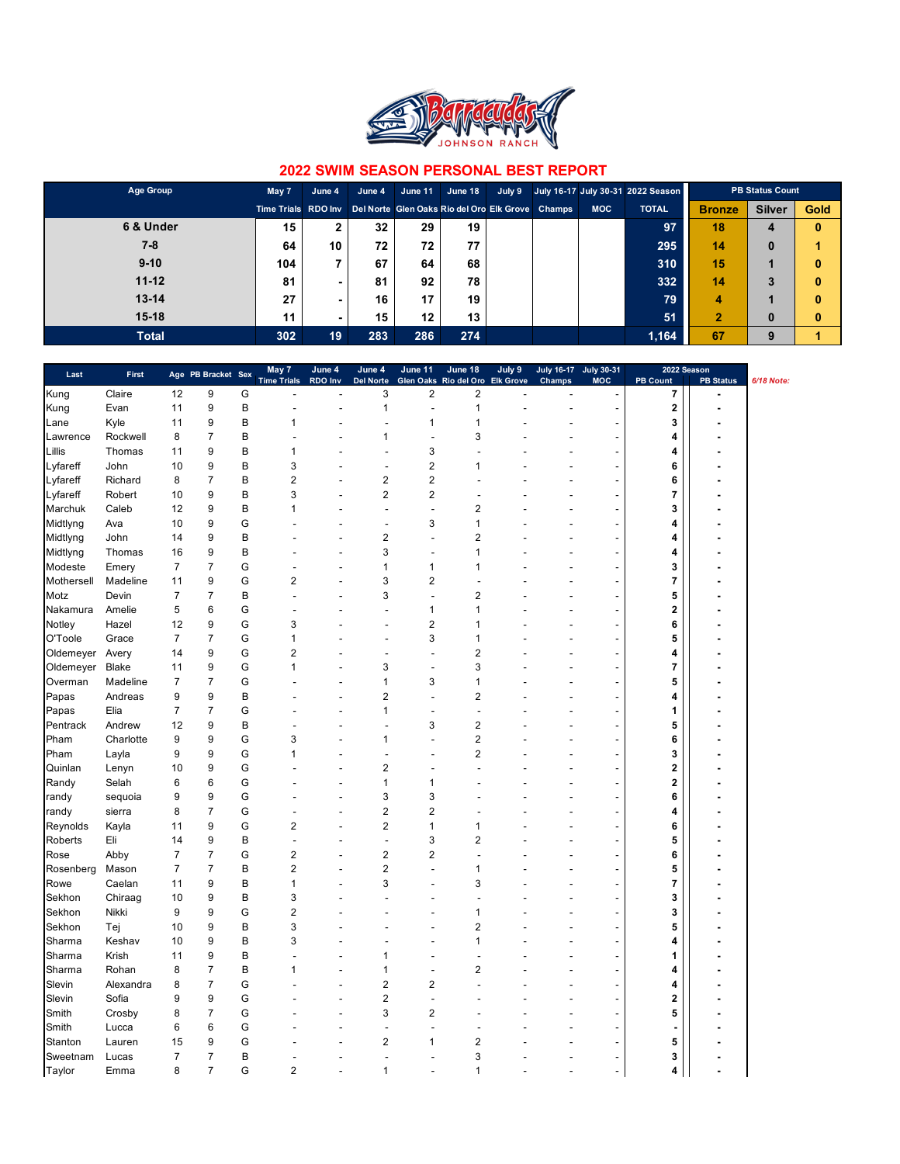

| Age Group    | May 7               | June 4 | June 4 | June 11 | June 18                                          | July 9 |            | July 16-17 July 30-31 2022 Season |                | <b>PB Status Count</b> |             |
|--------------|---------------------|--------|--------|---------|--------------------------------------------------|--------|------------|-----------------------------------|----------------|------------------------|-------------|
|              | Time Trials RDO Inv |        |        |         | Del Norte Glen Oaks Rio del Oro Elk Grove Champs |        | <b>MOC</b> | <b>TOTAL</b>                      | <b>Bronze</b>  | <b>Silver</b>          | <b>Gold</b> |
| 6 & Under    | 15                  |        | 32     | 29      | 19                                               |        |            | 97                                | 18             | 4                      | $\bf{0}$    |
| 7-8          | 64                  | 10     | 72     | 72      | 77                                               |        |            | 295                               | 14             | 0                      |             |
| $9 - 10$     | 104                 |        | 67     | 64      | 68                                               |        |            | 310                               | 15             |                        | $\bf{0}$    |
| $11 - 12$    | 81                  | -      | 81     | 92      | 78                                               |        |            | 332                               | 14             | 3                      | $\bf{0}$    |
| $13 - 14$    | 27                  |        | 16     | 17      | 19                                               |        |            | 79                                | 4              |                        | $\bf{0}$    |
| $15 - 18$    | 11                  |        | 15     | $12 \,$ | 13                                               |        |            | 51                                | $\overline{2}$ | $\bf{0}$               | $\bf{0}$    |
| <b>Total</b> | 302                 | 19     | 283    | 286     | 274                                              |        |            | 1,164                             | 67             | 9                      |             |

| Last       | First     |                | Age PB Bracket Sex |   | May 7                   | June 4         | June 4                  | June 11                 | June 18                 | July 9           | <b>July 16-17</b> | <b>July 30-31</b>        | 2022 Season     |                  |            |
|------------|-----------|----------------|--------------------|---|-------------------------|----------------|-------------------------|-------------------------|-------------------------|------------------|-------------------|--------------------------|-----------------|------------------|------------|
|            |           |                |                    |   | <b>Time Trials</b>      | RDO Inv        | <b>Del Norte</b>        | <b>Glen Oaks</b>        | Rio del Oro             | <b>Elk Grove</b> | Champs            | <b>MOC</b>               | <b>PB Count</b> | <b>PB Status</b> | 6/18 Note: |
| Kung       | Claire    | 12             | 9                  | G |                         | L              | 3                       | $\overline{\mathbf{c}}$ | $\overline{\mathbf{c}}$ |                  |                   |                          | 7               |                  |            |
| Kung       | Evan      | 11             | 9                  | B | Ē.                      | $\overline{a}$ | $\mathbf{1}$            | ÷,                      | $\mathbf{1}$            |                  |                   |                          | $\mathbf 2$     | ٠                |            |
| Lane       | Kyle      | 11             | 9                  | B | 1                       |                |                         | $\mathbf{1}$            | 1                       |                  |                   | $\overline{\phantom{a}}$ | 3               |                  |            |
| Lawrence   | Rockwell  | 8              | $\overline{7}$     | B |                         |                | 1                       | Ĭ.                      | 3                       |                  |                   |                          | 4               |                  |            |
| Lillis     | Thomas    | 11             | 9                  | B | 1                       |                | $\overline{a}$          | 3                       |                         |                  |                   |                          | 4               |                  |            |
| Lyfareff   | John      | 10             | 9                  | B | 3                       |                |                         | $\overline{2}$          | 1                       |                  |                   |                          | 6               |                  |            |
| Lyfareff   | Richard   | 8              | $\overline{7}$     | B | $\overline{2}$          |                | $\overline{2}$          | $\overline{2}$          |                         |                  |                   |                          | 6               |                  |            |
| Lyfareff   | Robert    | 10             | 9                  | B | 3                       |                | $\overline{2}$          | $\overline{2}$          |                         |                  |                   |                          | $\overline{7}$  |                  |            |
| Marchuk    | Caleb     | 12             | 9                  | B | 1                       |                |                         | Ĭ.                      | $\overline{2}$          |                  |                   | $\overline{a}$           | 3               |                  |            |
| Midtlyng   | Ava       | 10             | 9                  | G |                         |                |                         | 3                       | 1                       |                  |                   |                          | 4               |                  |            |
| Midtlyng   | John      | 14             | 9                  | B |                         |                | $\overline{2}$          | Ĭ.                      | $\overline{2}$          |                  |                   | $\overline{\phantom{a}}$ | 4               |                  |            |
| Midtlyng   | Thomas    | 16             | 9                  | B |                         |                | 3                       | Ĭ.                      | 1                       |                  |                   | $\overline{\phantom{a}}$ | 4               |                  |            |
| Modeste    | Emery     | 7              | $\overline{7}$     | G |                         | Ĭ.             | 1                       | 1                       | 1                       |                  |                   | $\overline{a}$           | 3               |                  |            |
| Mothersell | Madeline  | 11             | 9                  | G | $\overline{2}$          |                | 3                       | $\overline{\mathbf{c}}$ |                         |                  |                   | $\overline{\phantom{a}}$ | 7               |                  |            |
| Motz       | Devin     | 7              | $\overline{7}$     | B |                         |                | 3                       | Ĭ.                      | $\overline{2}$          |                  |                   | $\overline{\phantom{a}}$ | 5               |                  |            |
| Nakamura   | Amelie    | 5              | $\,6$              | G |                         |                |                         | 1                       | 1                       |                  |                   | $\overline{\phantom{a}}$ | 2               |                  |            |
| Notley     | Hazel     | 12             | 9                  | G | 3                       |                | Ĭ.                      | $\overline{\mathbf{c}}$ | 1                       |                  |                   | $\overline{\phantom{a}}$ | 6               |                  |            |
| O'Toole    | Grace     | 7              | $\overline{7}$     | G | 1                       |                |                         | 3                       | 1                       |                  |                   | $\overline{\phantom{a}}$ | 5               |                  |            |
| Oldemeyer  | Avery     | 14             | 9                  | G | $\overline{2}$          |                | ٠                       | ä,                      | $\overline{2}$          |                  |                   | $\overline{\phantom{a}}$ | 4               |                  |            |
| Oldemeyer  | Blake     | 11             | 9                  | G | 1                       |                | 3                       | ٠                       | 3                       |                  |                   | $\overline{\phantom{a}}$ | 7               |                  |            |
| Overman    | Madeline  | $\overline{7}$ | $\overline{7}$     | G |                         | Ĭ.             | 1                       | 3                       | 1                       |                  |                   | $\overline{\phantom{a}}$ | 5               |                  |            |
| Papas      | Andreas   | 9              | 9                  | B |                         |                | 2                       | ÷.                      | $\overline{2}$          |                  |                   |                          | 4               |                  |            |
| Papas      | Elia      | 7              | $\overline{7}$     | G |                         |                | $\mathbf{1}$            | ٠                       |                         |                  |                   | $\overline{\phantom{a}}$ | 1               |                  |            |
| Pentrack   | Andrew    | 12             | 9                  | B |                         |                |                         | 3                       | $\overline{2}$          |                  |                   |                          | 5               |                  |            |
| Pham       | Charlotte | 9              | 9                  | G | 3                       |                | $\mathbf{1}$            |                         | $\overline{2}$          |                  |                   | ÷.                       | 6               |                  |            |
| Pham       | Layla     | 9              | 9                  | G | 1                       |                |                         |                         | $\overline{2}$          |                  |                   |                          | 3               |                  |            |
| Quinlan    | Lenyn     | 10             | 9                  | G |                         |                | $\overline{2}$          |                         |                         |                  |                   |                          | 2               |                  |            |
| Randy      | Selah     | 6              | 6                  | G |                         |                | 1                       | 1                       |                         |                  |                   |                          | 2               |                  |            |
| randy      | sequoia   | 9              | 9                  | G |                         |                | 3                       | 3                       |                         |                  |                   |                          | 6               |                  |            |
|            |           | 8              | $\overline{7}$     | G |                         |                | $\overline{2}$          | $\overline{2}$          |                         |                  |                   |                          | 4               |                  |            |
| randy      | sierra    | 11             | 9                  | G | $\overline{2}$          |                | $\overline{2}$          | $\mathbf{1}$            |                         |                  |                   |                          | 6               |                  |            |
| Reynolds   | Kayla     |                |                    |   |                         |                |                         |                         | 1<br>$\overline{2}$     |                  |                   |                          |                 |                  |            |
| Roberts    | Eli       | 14             | 9                  | B |                         |                | Ĭ.                      | 3                       |                         |                  |                   |                          | 5               |                  |            |
| Rose       | Abby      | 7              | $\overline{7}$     | G | 2                       |                | $\overline{\mathbf{c}}$ | $\overline{c}$          |                         |                  |                   |                          | 6               |                  |            |
| Rosenberg  | Mason     | 7              | $\overline{7}$     | B | $\overline{c}$          |                | $\overline{c}$          | Ĭ.                      | 1                       |                  |                   |                          | 5               |                  |            |
| Rowe       | Caelan    | 11             | 9                  | B | 1                       |                | 3                       |                         | 3                       |                  |                   |                          | 7               |                  |            |
| Sekhon     | Chiraag   | 10             | 9                  | B | 3                       |                |                         |                         |                         |                  |                   |                          | 3               |                  |            |
| Sekhon     | Nikki     | 9              | 9                  | G | $\overline{\mathbf{c}}$ |                |                         |                         | 1                       |                  |                   |                          | 3               |                  |            |
| Sekhon     | Tej       | 10             | 9                  | B | 3                       |                |                         |                         | $\overline{\mathbf{c}}$ |                  |                   |                          | 5               |                  |            |
| Sharma     | Keshav    | 10             | 9                  | B | 3                       |                |                         |                         | 1                       |                  |                   |                          | 4               |                  |            |
| Sharma     | Krish     | 11             | 9                  | B |                         |                | 1                       |                         |                         |                  |                   | $\overline{\phantom{a}}$ | 1               |                  |            |
| Sharma     | Rohan     | 8              | $\overline{7}$     | B | 1                       | Ĭ.             | 1                       | ä,                      | 2                       |                  |                   | $\overline{\phantom{a}}$ | 4               |                  |            |
| Slevin     | Alexandra | 8              | $\overline{7}$     | G |                         | Ĭ.             | 2                       | $\overline{c}$          |                         |                  |                   | $\overline{a}$           | 4               |                  |            |
| Slevin     | Sofia     | 9              | 9                  | G |                         |                | $\overline{c}$          | $\overline{a}$          |                         |                  |                   | $\overline{\phantom{a}}$ | 2               |                  |            |
| Smith      | Crosby    | 8              | $\overline{7}$     | G |                         |                | 3                       | $\overline{\mathbf{c}}$ |                         |                  |                   | $\overline{\phantom{a}}$ | 5               |                  |            |
| Smith      | Lucca     | 6              | 6                  | G |                         |                |                         | ä,                      |                         |                  |                   |                          |                 |                  |            |
| Stanton    | Lauren    | 15             | 9                  | G |                         |                | $\overline{2}$          | 1                       | $\overline{2}$          |                  |                   |                          | 5               |                  |            |
| Sweetnam   | Lucas     | $\overline{7}$ | $\overline{7}$     | B |                         |                | L,                      | ۰                       | 3                       |                  |                   | $\overline{\phantom{a}}$ | 3               |                  |            |
| Taylor     | Emma      | 8              | $\overline{7}$     | G | $\overline{2}$          |                | 1                       |                         | 1                       |                  |                   |                          | 4               |                  |            |